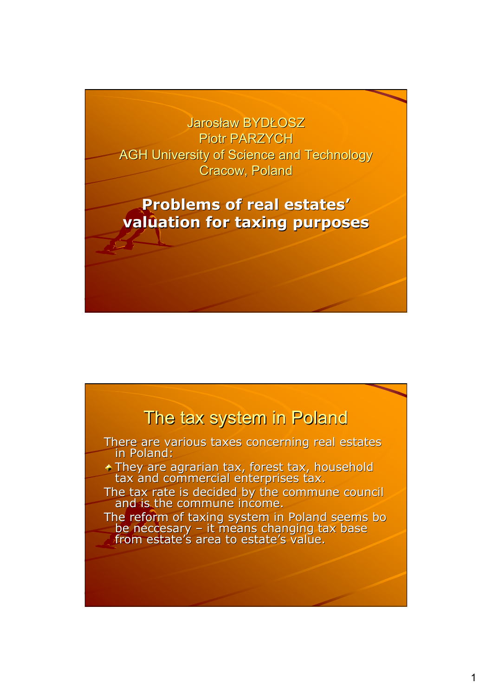#### Jarosław BYDŁOSZ Piotr PARZYCH AGH University of Science and Technology Cracow, Poland

#### **Problems of real estates' valuation for taxing purposes valuation for taxing purposes**

#### The tax system in Poland

There are various taxes concerning real estates in Poland:

- They are agrarian tax, forest tax, household tax and commercial enterprises tax.
- The tax rate is decided by the commune council<br>and is the commune income.

The reform of taxing system in Poland seems bo be neccesary – it means changing tax base from estate's area to estate's value.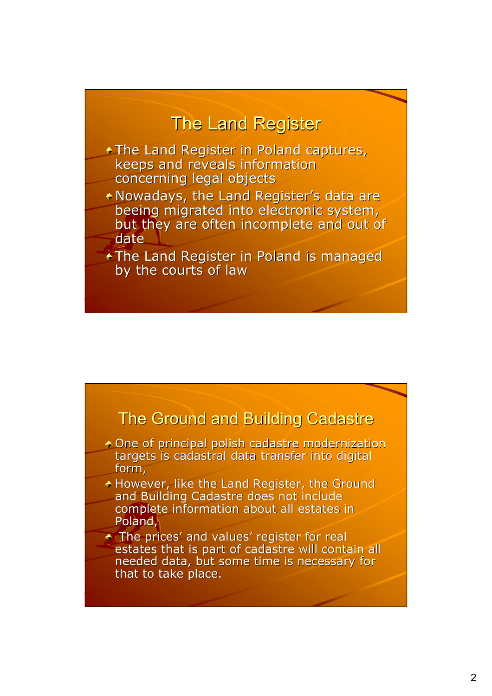## **The Land Register**

- $+$ The Land Register in Poland captures, keeps and reveals information
- concerning legal objects
- \* Nowadays, the Land Register's data are beeing migrated into electronic system, but they are often incomplete and out of date
- $\overline{\text{F}}$ The Land Register in Poland is managed by the courts of law

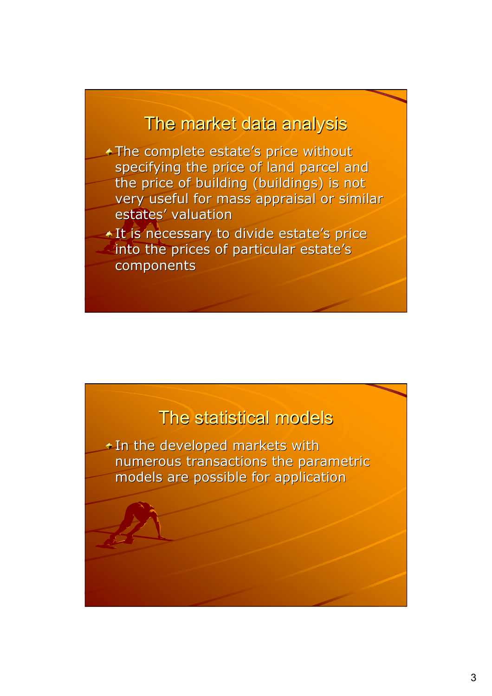## The market data analysis

 $\triangle$ The complete estate's price without specifying the price of land parcel and the price of building (buildings) is not very useful for mass appraisal or similar estates' valuation

+ It is necessary to divide estate's price into the prices of particular estate's components components

## The statistical models

 $+$  In the developed markets with numerous transactions the parametric models are possible for application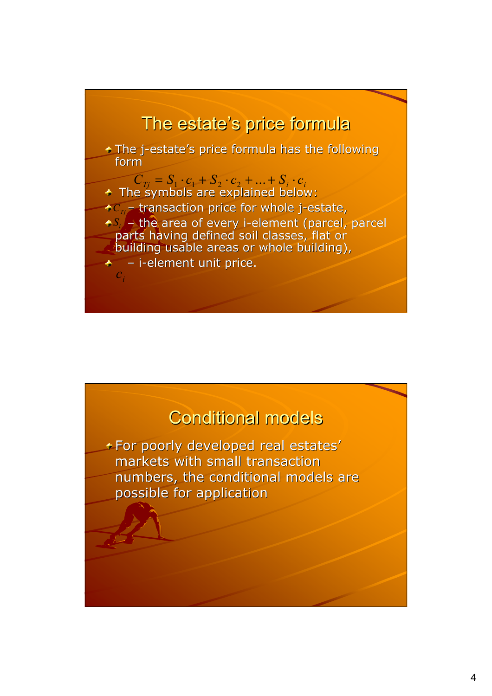# The estate's price formula

The j-estate's price formula has the following form

- $C_{Tj} = S_1 \cdot c_1 + S_2 \cdot c_2 + ... + S_i \cdot c_i$
- The symbols are explained below:
- $C_{Tj}$  transaction price for whole j-estate,
- $S_i$  the area of every i-element (parcel, parcel)
	- parts having defined soil classes, flat or
- building usable areas or whole building),
- $\div$  i-element unit price. *i c*

## **Conditional models**

+ For poorly developed real estates' markets with small transaction markets with small transaction numbers, the conditional models are possible for application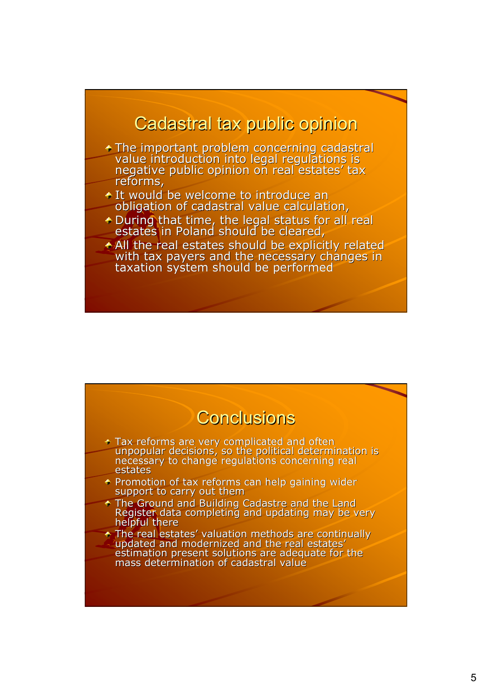#### Cadastral tax public opinion

- The important problem concerning cadastral <sup>\*</sup><br>value introduction into legal regulations is negative public opinion on real estates' tax reforms,
- $\div$  It would be welcome to introduce an obligation of cadastral value calculation,
- $\div$  During that time, the legal status for all real estates in Poland should be cleared,
- All the real estates should be explicitly related<br>with tax payers and the necessary changes in taxation system should be performed